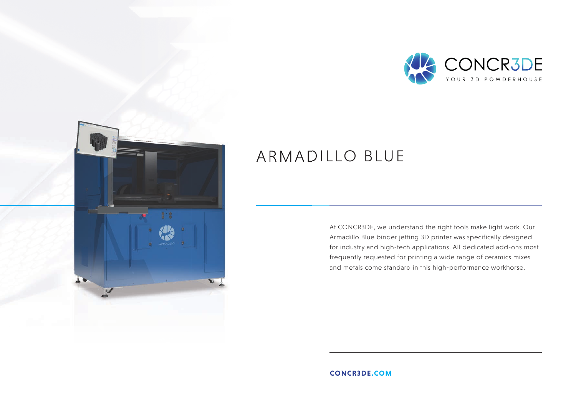



## ARMADILLO BLUE

At CONCR3DE, we understand the right tools make light work. Our Armadillo Blue binder jetting 3D printer was specifically designed for industry and high-tech applications. All dedicated add-ons most frequently requested for printing a wide range of ceramics mixes and metals come standard in this high-performance workhorse.

**CONCR3DE.COM**